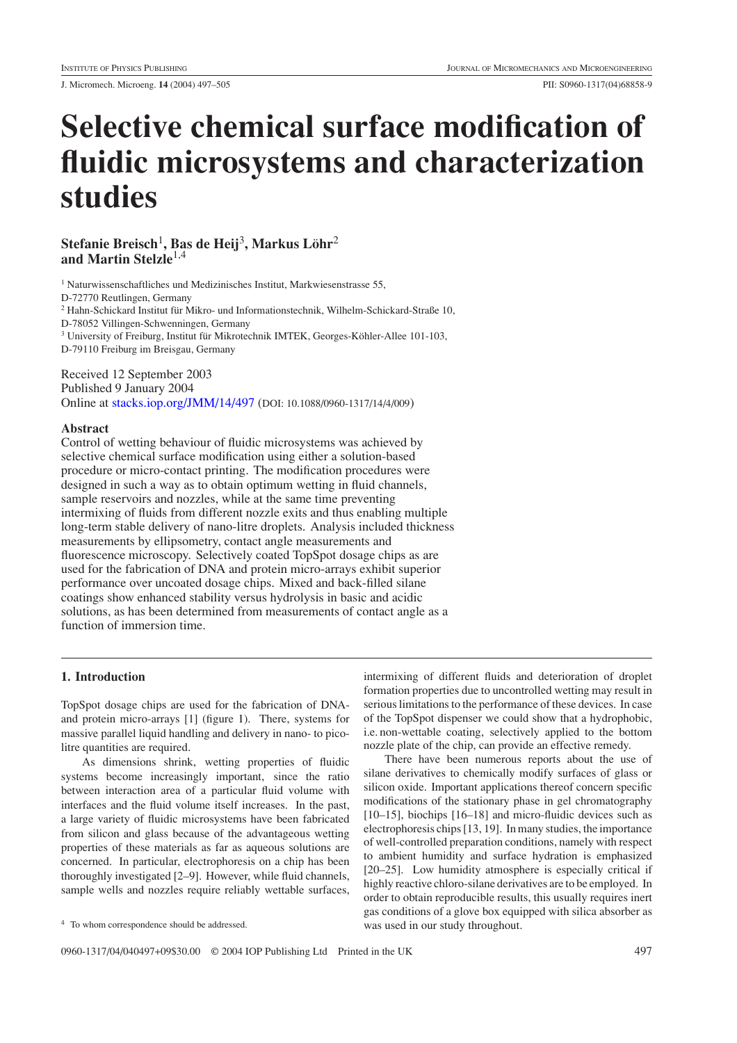J. Micromech. Microeng. **14** (2004) 497–505 PII: S0960-1317(04)68858-9

# **Selective chemical surface modification of fluidic microsystems and characterization studies**

**Stefanie Breisch**1**, Bas de Heij**3**, Markus Lohr ¨** <sup>2</sup> **and Martin Stelzle**1,4

<sup>1</sup> Naturwissenschaftliches und Medizinisches Institut, Markwiesenstrasse 55,

D-72770 Reutlingen, Germany

<sup>2</sup> Hahn-Schickard Institut für Mikro- und Informationstechnik, Wilhelm-Schickard-Straße 10,

D-78052 Villingen-Schwenningen, Germany

 $3$  University of Freiburg, Institut für Mikrotechnik IMTEK, Georges-Köhler-Allee 101-103, D-79110 Freiburg im Breisgau, Germany

# Received 12 September 2003

Published 9 January 2004 Online at [stacks.iop.org/JMM/14/497](http://stacks.iop.org/jm/14/497) (DOI: 10.1088/0960-1317/14/4/009)

# **Abstract**

Control of wetting behaviour of fluidic microsystems was achieved by selective chemical surface modification using either a solution-based procedure or micro-contact printing. The modification procedures were designed in such a way as to obtain optimum wetting in fluid channels, sample reservoirs and nozzles, while at the same time preventing intermixing of fluids from different nozzle exits and thus enabling multiple long-term stable delivery of nano-litre droplets. Analysis included thickness measurements by ellipsometry, contact angle measurements and fluorescence microscopy. Selectively coated TopSpot dosage chips as are used for the fabrication of DNA and protein micro-arrays exhibit superior performance over uncoated dosage chips. Mixed and back-filled silane coatings show enhanced stability versus hydrolysis in basic and acidic solutions, as has been determined from measurements of contact angle as a function of immersion time.

# **1. Introduction**

TopSpot dosage chips are used for the fabrication of DNAand protein micro-arrays [1] (figure [1\)](#page-1-0). There, systems for massive parallel liquid handling and delivery in nano- to picolitre quantities are required.

As dimensions shrink, wetting properties of fluidic systems become increasingly important, since the ratio between interaction area of a particular fluid volume with interfaces and the fluid volume itself increases. In the past, a large variety of fluidic microsystems have been fabricated from silicon and glass because of the advantageous wetting properties of these materials as far as aqueous solutions are concerned. In particular, electrophoresis on a chip has been thoroughly investigated [2–9]. However, while fluid channels, sample wells and nozzles require reliably wettable surfaces,

<sup>4</sup> To whom correspondence should be addressed.

intermixing of different fluids and deterioration of droplet formation properties due to uncontrolled wetting may result in serious limitations to the performance of these devices. In case of the TopSpot dispenser we could show that a hydrophobic, i.e. non-wettable coating, selectively applied to the bottom nozzle plate of the chip, can provide an effective remedy.

There have been numerous reports about the use of silane derivatives to chemically modify surfaces of glass or silicon oxide. Important applications thereof concern specific modifications of the stationary phase in gel chromatography [10–15], biochips [16–18] and micro-fluidic devices such as electrophoresis chips [13, 19]. In many studies, the importance of well-controlled preparation conditions, namely with respect to ambient humidity and surface hydration is emphasized [20–25]. Low humidity atmosphere is especially critical if highly reactive chloro-silane derivatives are to be employed. In order to obtain reproducible results, this usually requires inert gas conditions of a glove box equipped with silica absorber as was used in our study throughout.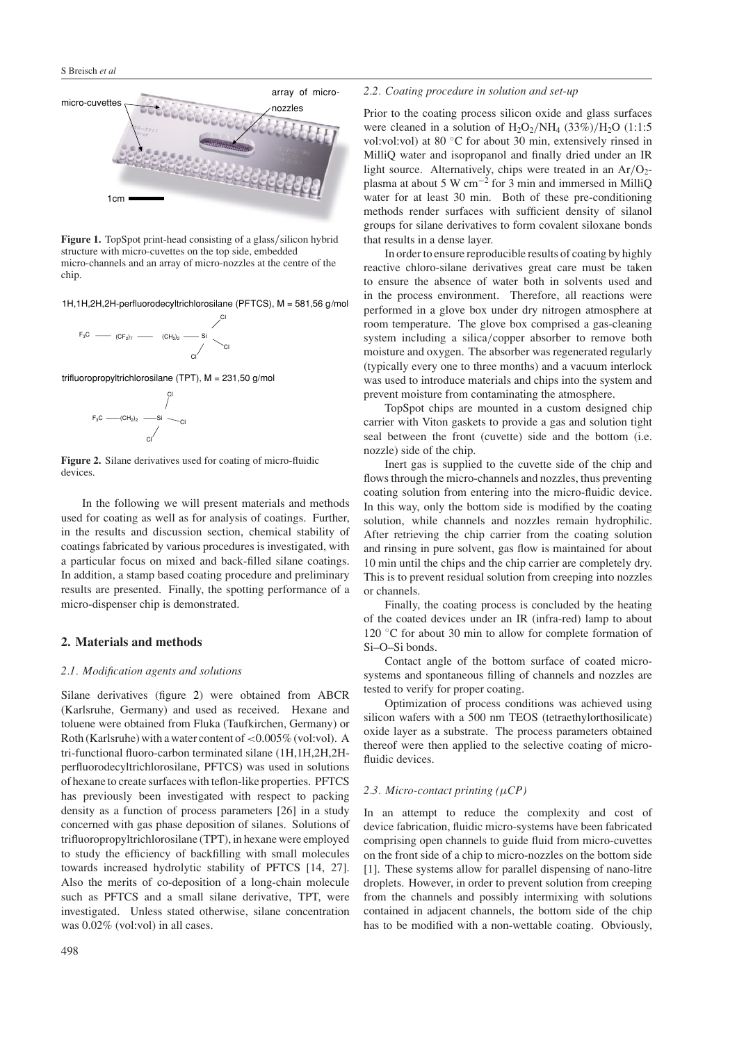

<span id="page-1-0"></span>**Figure 1.** TopSpot print-head consisting of a glass*/*silicon hybrid structure with micro-cuvettes on the top side, embedded micro-channels and an array of micro-nozzles at the centre of the chip.

1H,1H,2H,2H-perfluorodecyltrichlorosilane (PFTCS), M = 581,56 g/mol

$$
F_3C
$$
 (CF<sub>2)</sub> $\rightarrow$  (CH<sub>2)</sub> $\rightarrow$  Si  
CI

trifluoropropyltrichlorosilane (TPT), M = 231,50 g/mol



<span id="page-1-1"></span>**Figure 2.** Silane derivatives used for coating of micro-fluidic devices.

In the following we will present materials and methods used for coating as well as for analysis of coatings. Further, in the results and discussion section, chemical stability of coatings fabricated by various procedures is investigated, with a particular focus on mixed and back-filled silane coatings. In addition, a stamp based coating procedure and preliminary results are presented. Finally, the spotting performance of a micro-dispenser chip is demonstrated.

## **2. Materials and methods**

## *2.1. Modification agents and solutions*

Silane derivatives (figure [2\)](#page-1-1) were obtained from ABCR (Karlsruhe, Germany) and used as received. Hexane and toluene were obtained from Fluka (Taufkirchen, Germany) or Roth (Karlsruhe) with a water content of*<*0.005% (vol:vol). A tri-functional fluoro-carbon terminated silane (1H,1H,2H,2Hperfluorodecyltrichlorosilane, PFTCS) was used in solutions of hexane to create surfaces with teflon-like properties. PFTCS has previously been investigated with respect to packing density as a function of process parameters [26] in a study concerned with gas phase deposition of silanes. Solutions of trifluoropropyltrichlorosilane (TPT), in hexane were employed to study the efficiency of backfilling with small molecules towards increased hydrolytic stability of PFTCS [14, 27]. Also the merits of co-deposition of a long-chain molecule such as PFTCS and a small silane derivative, TPT, were investigated. Unless stated otherwise, silane concentration was 0.02% (vol:vol) in all cases.

## *2.2. Coating procedure in solution and set-up*

Prior to the coating process silicon oxide and glass surfaces were cleaned in a solution of  $H_2O_2/NH_4$  (33%)/ $H_2O$  (1:1:5 vol:vol:vol) at 80 ◦C for about 30 min, extensively rinsed in MilliQ water and isopropanol and finally dried under an IR light source. Alternatively, chips were treated in an Ar/O<sub>2</sub>plasma at about 5 W cm−<sup>2</sup> for 3 min and immersed in MilliQ water for at least 30 min. Both of these pre-conditioning methods render surfaces with sufficient density of silanol groups for silane derivatives to form covalent siloxane bonds that results in a dense layer.

In order to ensure reproducible results of coating by highly reactive chloro-silane derivatives great care must be taken to ensure the absence of water both in solvents used and in the process environment. Therefore, all reactions were performed in a glove box under dry nitrogen atmosphere at room temperature. The glove box comprised a gas-cleaning system including a silica*/*copper absorber to remove both moisture and oxygen. The absorber was regenerated regularly (typically every one to three months) and a vacuum interlock was used to introduce materials and chips into the system and prevent moisture from contaminating the atmosphere.

TopSpot chips are mounted in a custom designed chip carrier with Viton gaskets to provide a gas and solution tight seal between the front (cuvette) side and the bottom (i.e. nozzle) side of the chip.

Inert gas is supplied to the cuvette side of the chip and flows through the micro-channels and nozzles, thus preventing coating solution from entering into the micro-fluidic device. In this way, only the bottom side is modified by the coating solution, while channels and nozzles remain hydrophilic. After retrieving the chip carrier from the coating solution and rinsing in pure solvent, gas flow is maintained for about 10 min until the chips and the chip carrier are completely dry. This is to prevent residual solution from creeping into nozzles or channels.

Finally, the coating process is concluded by the heating of the coated devices under an IR (infra-red) lamp to about 120 ◦C for about 30 min to allow for complete formation of Si–O–Si bonds.

Contact angle of the bottom surface of coated microsystems and spontaneous filling of channels and nozzles are tested to verify for proper coating.

Optimization of process conditions was achieved using silicon wafers with a 500 nm TEOS (tetraethylorthosilicate) oxide layer as a substrate. The process parameters obtained thereof were then applied to the selective coating of microfluidic devices.

#### *2.3. Micro-contact printing (µCP)*

In an attempt to reduce the complexity and cost of device fabrication, fluidic micro-systems have been fabricated comprising open channels to guide fluid from micro-cuvettes on the front side of a chip to micro-nozzles on the bottom side [1]. These systems allow for parallel dispensing of nano-litre droplets. However, in order to prevent solution from creeping from the channels and possibly intermixing with solutions contained in adjacent channels, the bottom side of the chip has to be modified with a non-wettable coating. Obviously,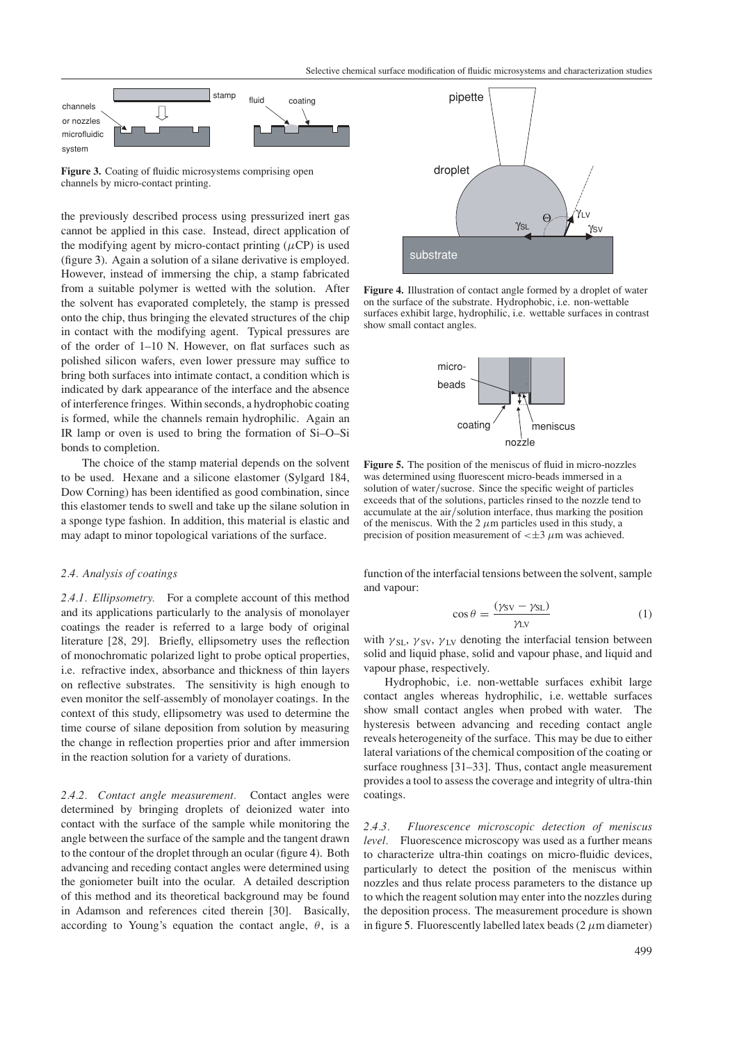

<span id="page-2-0"></span>**Figure 3.** Coating of fluidic microsystems comprising open channels by micro-contact printing.

the previously described process using pressurized inert gas cannot be applied in this case. Instead, direct application of the modifying agent by micro-contact printing  $(\mu CP)$  is used (figure [3\)](#page-2-0). Again a solution of a silane derivative is employed. However, instead of immersing the chip, a stamp fabricated from a suitable polymer is wetted with the solution. After the solvent has evaporated completely, the stamp is pressed onto the chip, thus bringing the elevated structures of the chip in contact with the modifying agent. Typical pressures are of the order of 1–10 N. However, on flat surfaces such as polished silicon wafers, even lower pressure may suffice to bring both surfaces into intimate contact, a condition which is indicated by dark appearance of the interface and the absence of interference fringes. Within seconds, a hydrophobic coating is formed, while the channels remain hydrophilic. Again an IR lamp or oven is used to bring the formation of Si–O–Si bonds to completion.

The choice of the stamp material depends on the solvent to be used. Hexane and a silicone elastomer (Sylgard 184, Dow Corning) has been identified as good combination, since this elastomer tends to swell and take up the silane solution in a sponge type fashion. In addition, this material is elastic and may adapt to minor topological variations of the surface.

## *2.4. Analysis of coatings*

*2.4.1. Ellipsometry.* For a complete account of this method and its applications particularly to the analysis of monolayer coatings the reader is referred to a large body of original literature [28, 29]. Briefly, ellipsometry uses the reflection of monochromatic polarized light to probe optical properties, i.e. refractive index, absorbance and thickness of thin layers on reflective substrates. The sensitivity is high enough to even monitor the self-assembly of monolayer coatings. In the context of this study, ellipsometry was used to determine the time course of silane deposition from solution by measuring the change in reflection properties prior and after immersion in the reaction solution for a variety of durations.

*2.4.2. Contact angle measurement.* Contact angles were determined by bringing droplets of deionized water into contact with the surface of the sample while monitoring the angle between the surface of the sample and the tangent drawn to the contour of the droplet through an ocular (figure [4\)](#page-2-1). Both advancing and receding contact angles were determined using the goniometer built into the ocular. A detailed description of this method and its theoretical background may be found in Adamson and references cited therein [30]. Basically, according to Young's equation the contact angle,  $\theta$ , is a



<span id="page-2-1"></span>**Figure 4.** Illustration of contact angle formed by a droplet of water on the surface of the substrate. Hydrophobic, i.e. non-wettable surfaces exhibit large, hydrophilic, i.e. wettable surfaces in contrast show small contact angles.



<span id="page-2-2"></span>**Figure 5.** The position of the meniscus of fluid in micro-nozzles was determined using fluorescent micro-beads immersed in a solution of water*/*sucrose. Since the specific weight of particles exceeds that of the solutions, particles rinsed to the nozzle tend to accumulate at the air*/*solution interface, thus marking the position of the meniscus. With the  $2 \mu m$  particles used in this study, a precision of position measurement of  $\lt \pm 3$   $\mu$ m was achieved.

function of the interfacial tensions between the solvent, sample and vapour:

$$
\cos \theta = \frac{(\gamma_{SV} - \gamma_{SL})}{\gamma_{LV}} \tag{1}
$$

with  $\gamma_{\rm SL}$ ,  $\gamma_{\rm SV}$ ,  $\gamma_{\rm LV}$  denoting the interfacial tension between solid and liquid phase, solid and vapour phase, and liquid and vapour phase, respectively.

Hydrophobic, i.e. non-wettable surfaces exhibit large contact angles whereas hydrophilic, i.e. wettable surfaces show small contact angles when probed with water. The hysteresis between advancing and receding contact angle reveals heterogeneity of the surface. This may be due to either lateral variations of the chemical composition of the coating or surface roughness [31–33]. Thus, contact angle measurement provides a tool to assess the coverage and integrity of ultra-thin coatings.

*2.4.3. Fluorescence microscopic detection of meniscus level.* Fluorescence microscopy was used as a further means to characterize ultra-thin coatings on micro-fluidic devices, particularly to detect the position of the meniscus within nozzles and thus relate process parameters to the distance up to which the reagent solution may enter into the nozzles during the deposition process. The measurement procedure is shown in figure [5.](#page-2-2) Fluorescently labelled latex beads  $(2 \mu m \text{ diameter})$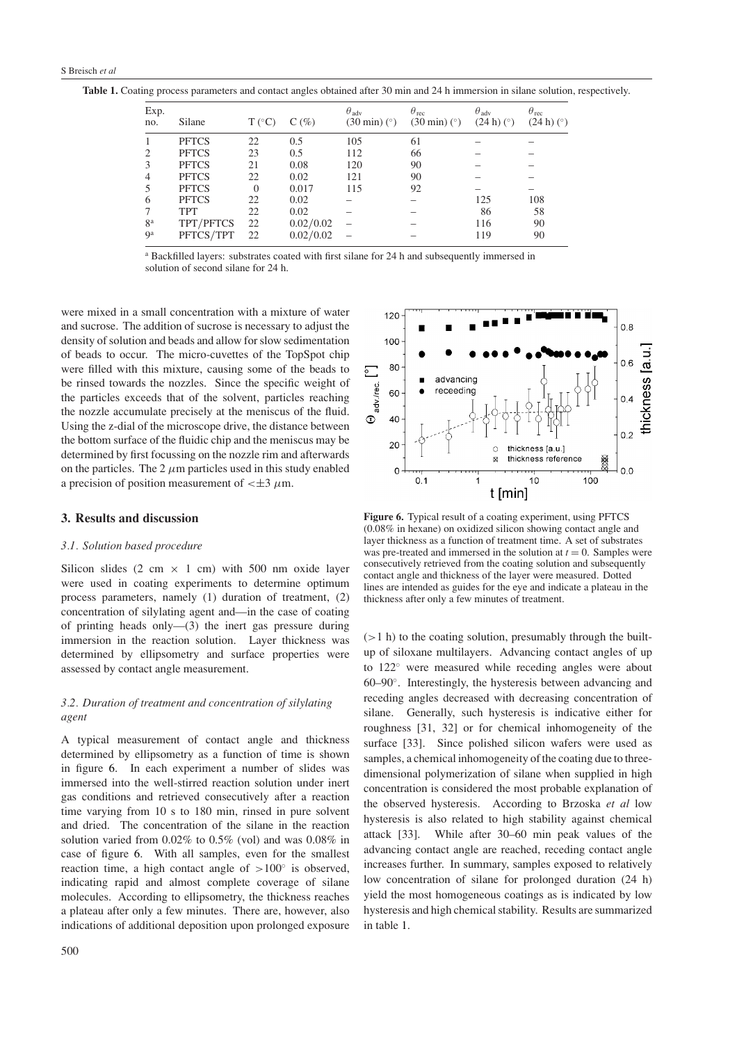<span id="page-3-1"></span>**Table 1.** Coating process parameters and contact angles obtained after 30 min and 24 h immersion in silane solution, respectively.

| Exp.<br>no.    | Silane       | $T (^{\circ}C)$ | $C(\%)$   | $\theta_{\text{adv}}$<br>$(30 \text{ min})$ ( $\degree$ ) | $\theta_{\text{rec}}$<br>$(30 \text{ min})$ (°) | $\theta_{\text{adv}}$<br>$(24 h)$ ( $\degree$ ) | $\theta_{\text{rec}}$<br>$(24 h)$ ( $\degree$ ) |
|----------------|--------------|-----------------|-----------|-----------------------------------------------------------|-------------------------------------------------|-------------------------------------------------|-------------------------------------------------|
|                | <b>PFTCS</b> | 22              | 0.5       | 105                                                       | 61                                              |                                                 |                                                 |
| 2              | <b>PFTCS</b> | 23              | 0.5       | 112                                                       | 66                                              |                                                 |                                                 |
| 3              | <b>PFTCS</b> | 21              | 0.08      | 120                                                       | 90                                              |                                                 |                                                 |
| 4              | <b>PFTCS</b> | 22              | 0.02      | 121                                                       | 90                                              |                                                 |                                                 |
|                | <b>PFTCS</b> | $\theta$        | 0.017     | 115                                                       | 92                                              |                                                 |                                                 |
| 6              | <b>PFTCS</b> | 22              | 0.02      |                                                           |                                                 | 125                                             | 108                                             |
|                | <b>TPT</b>   | 22              | 0.02      |                                                           |                                                 | 86                                              | 58                                              |
| 8 <sup>a</sup> | TPT/PFTCS    | 22              | 0.02/0.02 |                                                           |                                                 | 116                                             | 90                                              |
| 9 <sup>a</sup> | PFTCS/TPT    | 22              | 0.02/0.02 |                                                           |                                                 | 119                                             | 90                                              |

<sup>a</sup> Backfilled layers: substrates coated with first silane for 24 h and subsequently immersed in solution of second silane for 24 h.

were mixed in a small concentration with a mixture of water and sucrose. The addition of sucrose is necessary to adjust the density of solution and beads and allow for slow sedimentation of beads to occur. The micro-cuvettes of the TopSpot chip were filled with this mixture, causing some of the beads to be rinsed towards the nozzles. Since the specific weight of the particles exceeds that of the solvent, particles reaching the nozzle accumulate precisely at the meniscus of the fluid. Using the z-dial of the microscope drive, the distance between the bottom surface of the fluidic chip and the meniscus may be determined by first focussing on the nozzle rim and afterwards on the particles. The 2  $\mu$ m particles used in this study enabled a precision of position measurement of  $\lt \pm 3 \mu$ m.

## **3. Results and discussion**

#### *3.1. Solution based procedure*

Silicon slides (2 cm  $\times$  1 cm) with 500 nm oxide layer were used in coating experiments to determine optimum process parameters, namely (1) duration of treatment, (2) concentration of silylating agent and—in the case of coating of printing heads only—(3) the inert gas pressure during immersion in the reaction solution. Layer thickness was determined by ellipsometry and surface properties were assessed by contact angle measurement.

# *3.2. Duration of treatment and concentration of silylating agent*

A typical measurement of contact angle and thickness determined by ellipsometry as a function of time is shown in figure [6.](#page-3-0) In each experiment a number of slides was immersed into the well-stirred reaction solution under inert gas conditions and retrieved consecutively after a reaction time varying from 10 s to 180 min, rinsed in pure solvent and dried. The concentration of the silane in the reaction solution varied from 0.02% to 0.5% (vol) and was 0.08% in case of figure [6.](#page-3-0) With all samples, even for the smallest reaction time, a high contact angle of *>*100◦ is observed, indicating rapid and almost complete coverage of silane molecules. According to ellipsometry, the thickness reaches a plateau after only a few minutes. There are, however, also indications of additional deposition upon prolonged exposure



<span id="page-3-0"></span>**Figure 6.** Typical result of a coating experiment, using PFTCS (0.08% in hexane) on oxidized silicon showing contact angle and layer thickness as a function of treatment time. A set of substrates was pre-treated and immersed in the solution at  $t = 0$ . Samples were consecutively retrieved from the coating solution and subsequently contact angle and thickness of the layer were measured. Dotted lines are intended as guides for the eye and indicate a plateau in the thickness after only a few minutes of treatment.

(*>*1 h) to the coating solution, presumably through the builtup of siloxane multilayers. Advancing contact angles of up to 122◦ were measured while receding angles were about 60–90◦. Interestingly, the hysteresis between advancing and receding angles decreased with decreasing concentration of silane. Generally, such hysteresis is indicative either for roughness [31, 32] or for chemical inhomogeneity of the surface [33]. Since polished silicon wafers were used as samples, a chemical inhomogeneity of the coating due to threedimensional polymerization of silane when supplied in high concentration is considered the most probable explanation of the observed hysteresis. According to Brzoska *et al* low hysteresis is also related to high stability against chemical attack [33]. While after 30–60 min peak values of the advancing contact angle are reached, receding contact angle increases further. In summary, samples exposed to relatively low concentration of silane for prolonged duration (24 h) yield the most homogeneous coatings as is indicated by low hysteresis and high chemical stability. Results are summarized in table [1.](#page-3-1)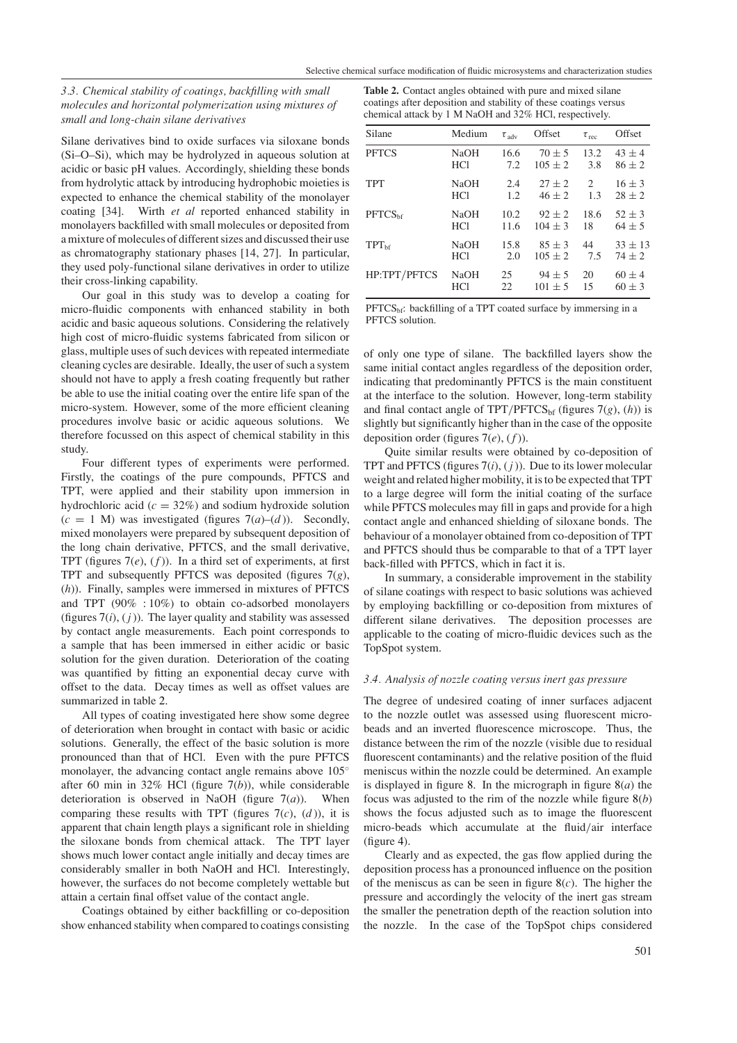# *3.3. Chemical stability of coatings, backfilling with small molecules and horizontal polymerization using mixtures of small and long-chain silane derivatives*

<span id="page-4-0"></span>**Table 2.** Contact angles obtained with pure and mixed silane coatings after deposition and stability of these coatings versus chemical attack by 1 M NaOH and 32% HCl, respectively.

Silane derivatives bind to oxide surfaces via siloxane bonds (Si–O–Si), which may be hydrolyzed in aqueous solution at acidic or basic pH values. Accordingly, shielding these bonds from hydrolytic attack by introducing hydrophobic moieties is expected to enhance the chemical stability of the monolayer coating [34]. Wirth *et al* reported enhanced stability in monolayers backfilled with small molecules or deposited from a mixture of molecules of different sizes and discussed their use as chromatography stationary phases [14, 27]. In particular, they used poly-functional silane derivatives in order to utilize their cross-linking capability.

Our goal in this study was to develop a coating for micro-fluidic components with enhanced stability in both acidic and basic aqueous solutions. Considering the relatively high cost of micro-fluidic systems fabricated from silicon or glass, multiple uses of such devices with repeated intermediate cleaning cycles are desirable. Ideally, the user of such a system should not have to apply a fresh coating frequently but rather be able to use the initial coating over the entire life span of the micro-system. However, some of the more efficient cleaning procedures involve basic or acidic aqueous solutions. We therefore focussed on this aspect of chemical stability in this study.

Four different types of experiments were performed. Firstly, the coatings of the pure compounds, PFTCS and TPT, were applied and their stability upon immersion in hydrochloric acid  $(c = 32\%)$  and sodium hydroxide solution  $(c = 1$  M) was investigated (figures  $7(a)$  $7(a)$ – $(d)$ ). Secondly, mixed monolayers were prepared by subsequent deposition of the long chain derivative, PFTCS, and the small derivative, TPT (figures  $7(e)$  $7(e)$ ,  $(f)$ ). In a third set of experiments, at first TPT and subsequently PFTCS was deposited (figures [7\(](#page-5-0)*g*), (*h*)). Finally, samples were immersed in mixtures of PFTCS and TPT (90% : 10%) to obtain co-adsorbed monolayers (figures  $7(i)$  $7(i)$ ,  $(j)$ ). The layer quality and stability was assessed by contact angle measurements. Each point corresponds to a sample that has been immersed in either acidic or basic solution for the given duration. Deterioration of the coating was quantified by fitting an exponential decay curve with offset to the data. Decay times as well as offset values are summarized in table [2.](#page-4-0)

All types of coating investigated here show some degree of deterioration when brought in contact with basic or acidic solutions. Generally, the effect of the basic solution is more pronounced than that of HCl. Even with the pure PFTCS monolayer, the advancing contact angle remains above 105<sup>◦</sup> after 60 min in 32% HCl (figure [7\(](#page-5-0)*b*)), while considerable deterioration is observed in NaOH (figure  $7(a)$  $7(a)$ ). When comparing these results with TPT (figures  $7(c)$  $7(c)$ ,  $(d)$ ), it is apparent that chain length plays a significant role in shielding the siloxane bonds from chemical attack. The TPT layer shows much lower contact angle initially and decay times are considerably smaller in both NaOH and HCl. Interestingly, however, the surfaces do not become completely wettable but attain a certain final offset value of the contact angle.

Coatings obtained by either backfilling or co-deposition show enhanced stability when compared to coatings consisting

| Silane              | Medium      | $\tau_{\text{adv}}$ | Offset      | $\tau_{\text{rec}}$ | Offset      |
|---------------------|-------------|---------------------|-------------|---------------------|-------------|
| <b>PFTCS</b>        | <b>NaOH</b> | 16.6                | $70 \pm 5$  | 13.2                | $43 \pm 4$  |
|                     | <b>HCl</b>  | 7.2                 | $105 \pm 2$ | 3.8                 | $86 \pm 2$  |
| <b>TPT</b>          | <b>NaOH</b> | 2.4                 | $27 + 2$    | 2                   | $16 \pm 3$  |
|                     | <b>HCl</b>  | 1.2                 | $46 \pm 2$  | 1.3                 | $28 \pm 2$  |
| PFTCS <sub>bf</sub> | <b>NaOH</b> | 10.2                | $92 \pm 2$  | 18.6                | $52 \pm 3$  |
|                     | <b>HCl</b>  | 11.6                | $104 \pm 3$ | 18                  | $64 \pm 5$  |
| $TPT_{\text{hf}}$   | <b>NaOH</b> | 15.8                | $85 \pm 3$  | 44                  | $33 \pm 13$ |
|                     | <b>HCl</b>  | 2.0                 | $105 \pm 2$ | 7.5                 | $74 \pm 2$  |
| HP:TPT/PFTCS        | <b>NaOH</b> | 25                  | $94 \pm 5$  | 20                  | $60 \pm 4$  |
|                     | <b>HCl</b>  | 22                  | $101 \pm 5$ | 15                  | $60 \pm 3$  |

 $PFTCS<sub>bf</sub>$ : backfilling of a TPT coated surface by immersing in a PFTCS solution.

of only one type of silane. The backfilled layers show the same initial contact angles regardless of the deposition order, indicating that predominantly PFTCS is the main constituent at the interface to the solution. However, long-term stability and final contact angle of TPT/PFTCS<sub>bf</sub> (figures  $7(g)$  $7(g)$ , (h)) is slightly but significantly higher than in the case of the opposite deposition order (figures  $7(e)$  $7(e)$ ,  $(f)$ ).

Quite similar results were obtained by co-deposition of TPT and PFTCS (figures [7\(](#page-5-0)*i*), ( *j* )). Due to its lower molecular weight and related higher mobility, it is to be expected that TPT to a large degree will form the initial coating of the surface while PFTCS molecules may fill in gaps and provide for a high contact angle and enhanced shielding of siloxane bonds. The behaviour of a monolayer obtained from co-deposition of TPT and PFTCS should thus be comparable to that of a TPT layer back-filled with PFTCS, which in fact it is.

In summary, a considerable improvement in the stability of silane coatings with respect to basic solutions was achieved by employing backfilling or co-deposition from mixtures of different silane derivatives. The deposition processes are applicable to the coating of micro-fluidic devices such as the TopSpot system.

## *3.4. Analysis of nozzle coating versus inert gas pressure*

The degree of undesired coating of inner surfaces adjacent to the nozzle outlet was assessed using fluorescent microbeads and an inverted fluorescence microscope. Thus, the distance between the rim of the nozzle (visible due to residual fluorescent contaminants) and the relative position of the fluid meniscus within the nozzle could be determined. An example is displayed in figure [8.](#page-6-0) In the micrograph in figure  $8(a)$  $8(a)$  the focus was adjusted to the rim of the nozzle while figure [8\(](#page-6-0)*b*) shows the focus adjusted such as to image the fluorescent micro-beads which accumulate at the fluid*/*air interface (figure [4\)](#page-2-1).

Clearly and as expected, the gas flow applied during the deposition process has a pronounced influence on the position of the meniscus as can be seen in figure [8\(](#page-6-0)*c*). The higher the pressure and accordingly the velocity of the inert gas stream the smaller the penetration depth of the reaction solution into the nozzle. In the case of the TopSpot chips considered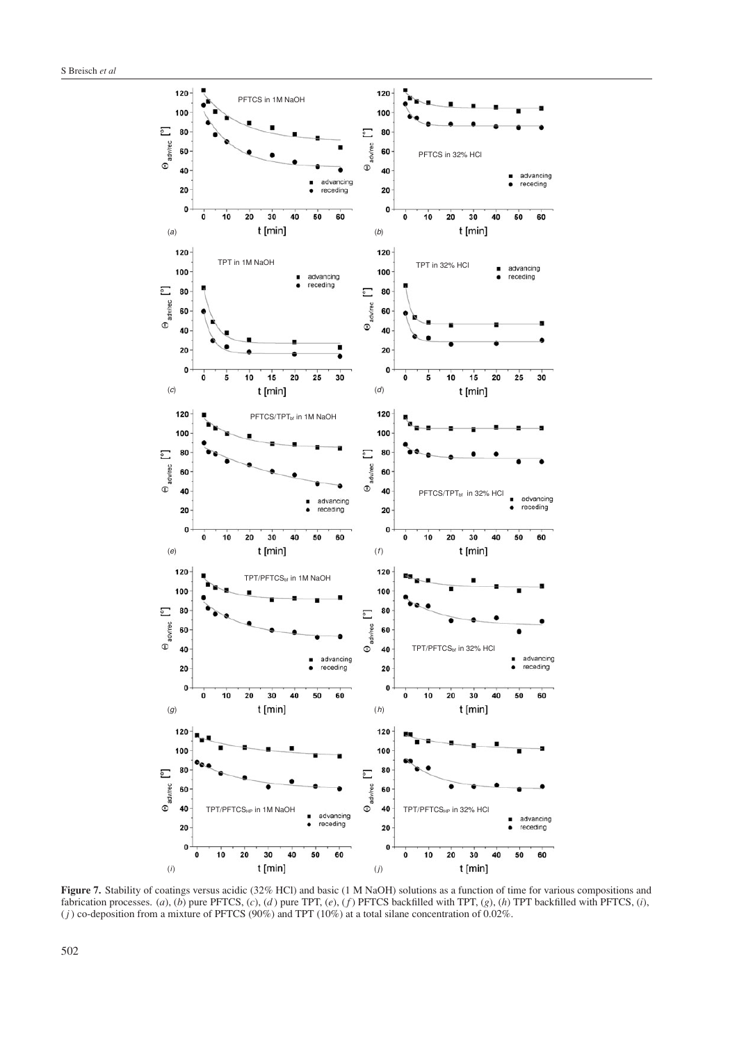

<span id="page-5-0"></span>**Figure 7.** Stability of coatings versus acidic (32% HCl) and basic (1 M NaOH) solutions as a function of time for various compositions and fabrication processes. (*a*), (*b*) pure PFTCS, (*c*), (*d* ) pure TPT, (*e*), (*f* ) PFTCS backfilled with TPT, (*g*), (*h*) TPT backfilled with PFTCS, (*i*),  $(j)$  co-deposition from a mixture of PFTCS (90%) and TPT (10%) at a total silane concentration of 0.02%.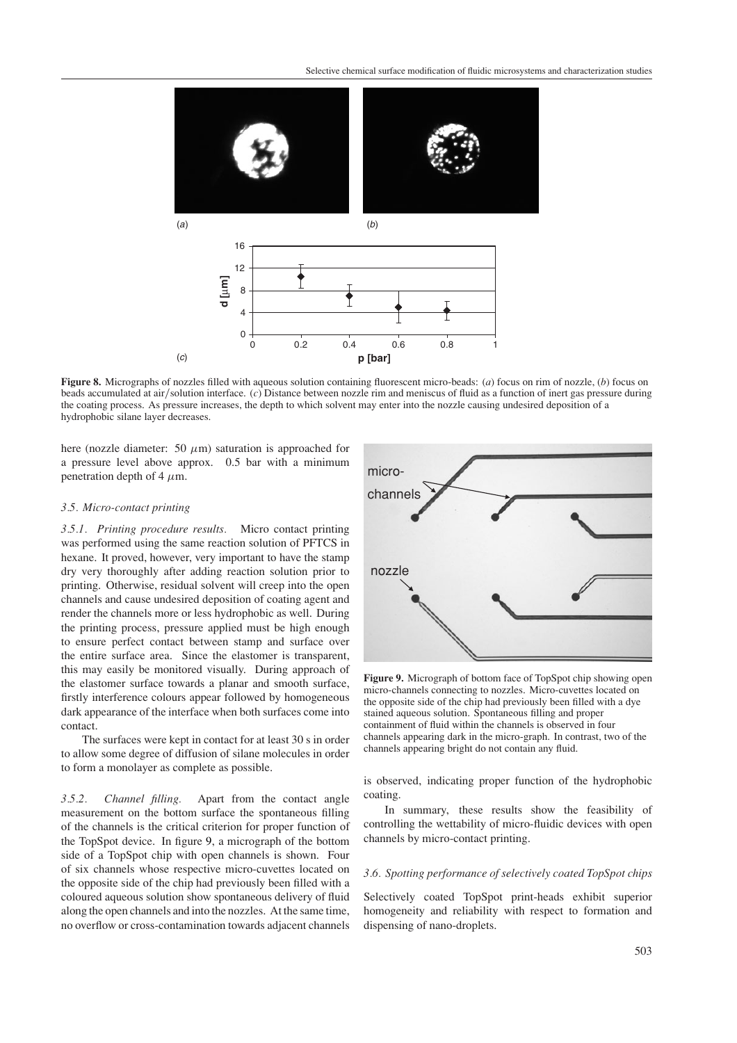

<span id="page-6-0"></span>**Figure 8.** Micrographs of nozzles filled with aqueous solution containing fluorescent micro-beads: (*a*) focus on rim of nozzle, (*b*) focus on beads accumulated at air*/*solution interface. (*c*) Distance between nozzle rim and meniscus of fluid as a function of inert gas pressure during the coating process. As pressure increases, the depth to which solvent may enter into the nozzle causing undesired deposition of a hydrophobic silane layer decreases.

here (nozzle diameter: 50  $\mu$ m) saturation is approached for a pressure level above approx. 0.5 bar with a minimum penetration depth of 4  $\mu$ m.

## *3.5. Micro-contact printing*

*3.5.1. Printing procedure results.* Micro contact printing was performed using the same reaction solution of PFTCS in hexane. It proved, however, very important to have the stamp dry very thoroughly after adding reaction solution prior to printing. Otherwise, residual solvent will creep into the open channels and cause undesired deposition of coating agent and render the channels more or less hydrophobic as well. During the printing process, pressure applied must be high enough to ensure perfect contact between stamp and surface over the entire surface area. Since the elastomer is transparent, this may easily be monitored visually. During approach of the elastomer surface towards a planar and smooth surface, firstly interference colours appear followed by homogeneous dark appearance of the interface when both surfaces come into contact.

The surfaces were kept in contact for at least 30 s in order to allow some degree of diffusion of silane molecules in order to form a monolayer as complete as possible.

*3.5.2. Channel filling.* Apart from the contact angle measurement on the bottom surface the spontaneous filling of the channels is the critical criterion for proper function of the TopSpot device. In figure [9,](#page-6-1) a micrograph of the bottom side of a TopSpot chip with open channels is shown. Four of six channels whose respective micro-cuvettes located on the opposite side of the chip had previously been filled with a coloured aqueous solution show spontaneous delivery of fluid along the open channels and into the nozzles. At the same time, no overflow or cross-contamination towards adjacent channels



<span id="page-6-1"></span>**Figure 9.** Micrograph of bottom face of TopSpot chip showing open micro-channels connecting to nozzles. Micro-cuvettes located on the opposite side of the chip had previously been filled with a dye stained aqueous solution. Spontaneous filling and proper containment of fluid within the channels is observed in four channels appearing dark in the micro-graph. In contrast, two of the channels appearing bright do not contain any fluid.

is observed, indicating proper function of the hydrophobic coating.

In summary, these results show the feasibility of controlling the wettability of micro-fluidic devices with open channels by micro-contact printing.

# *3.6. Spotting performance of selectively coated TopSpot chips*

Selectively coated TopSpot print-heads exhibit superior homogeneity and reliability with respect to formation and dispensing of nano-droplets.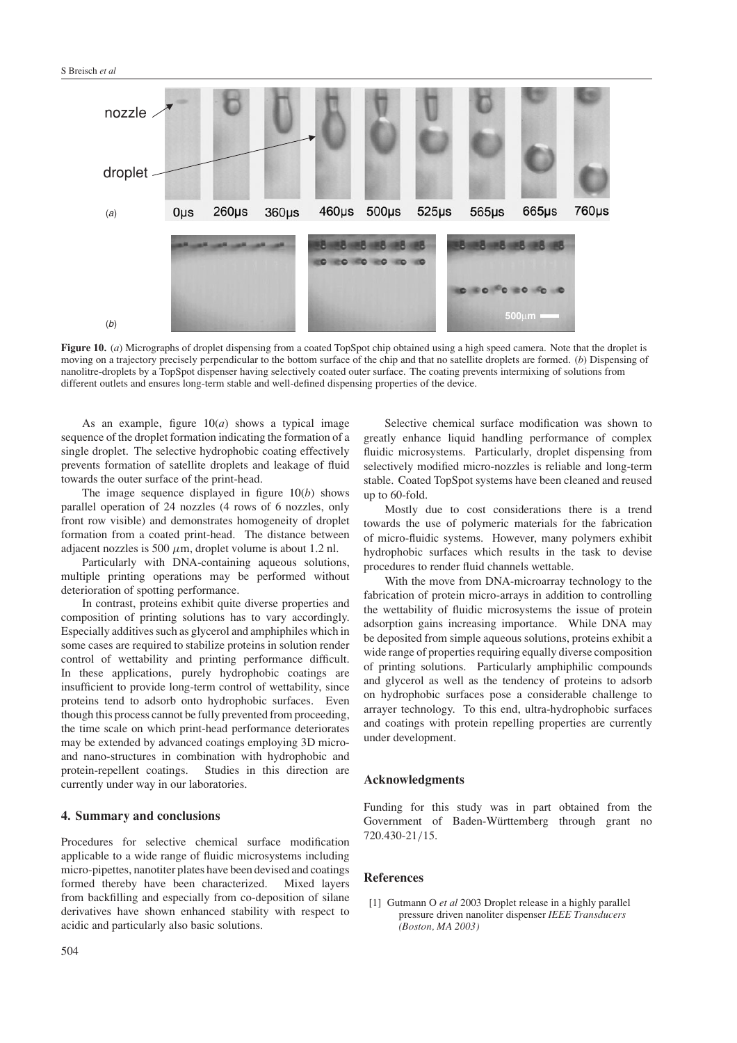

<span id="page-7-0"></span>**Figure 10.** (*a*) Micrographs of droplet dispensing from a coated TopSpot chip obtained using a high speed camera. Note that the droplet is moving on a trajectory precisely perpendicular to the bottom surface of the chip and that no satellite droplets are formed. (*b*) Dispensing of nanolitre-droplets by a TopSpot dispenser having selectively coated outer surface. The coating prevents intermixing of solutions from different outlets and ensures long-term stable and well-defined dispensing properties of the device.

As an example, figure  $10(a)$  $10(a)$  shows a typical image sequence of the droplet formation indicating the formation of a single droplet. The selective hydrophobic coating effectively prevents formation of satellite droplets and leakage of fluid towards the outer surface of the print-head.

The image sequence displayed in figure [10\(](#page-7-0)*b*) shows parallel operation of 24 nozzles (4 rows of 6 nozzles, only front row visible) and demonstrates homogeneity of droplet formation from a coated print-head. The distance between adjacent nozzles is 500  $\mu$ m, droplet volume is about 1.2 nl.

Particularly with DNA-containing aqueous solutions, multiple printing operations may be performed without deterioration of spotting performance.

In contrast, proteins exhibit quite diverse properties and composition of printing solutions has to vary accordingly. Especially additives such as glycerol and amphiphiles which in some cases are required to stabilize proteins in solution render control of wettability and printing performance difficult. In these applications, purely hydrophobic coatings are insufficient to provide long-term control of wettability, since proteins tend to adsorb onto hydrophobic surfaces. Even though this process cannot be fully prevented from proceeding, the time scale on which print-head performance deteriorates may be extended by advanced coatings employing 3D microand nano-structures in combination with hydrophobic and protein-repellent coatings. Studies in this direction are currently under way in our laboratories.

## **4. Summary and conclusions**

Procedures for selective chemical surface modification applicable to a wide range of fluidic microsystems including micro-pipettes, nanotiter plates have been devised and coatings formed thereby have been characterized. Mixed layers from backfilling and especially from co-deposition of silane derivatives have shown enhanced stability with respect to acidic and particularly also basic solutions.

Selective chemical surface modification was shown to greatly enhance liquid handling performance of complex fluidic microsystems. Particularly, droplet dispensing from selectively modified micro-nozzles is reliable and long-term stable. Coated TopSpot systems have been cleaned and reused up to 60-fold.

Mostly due to cost considerations there is a trend towards the use of polymeric materials for the fabrication of micro-fluidic systems. However, many polymers exhibit hydrophobic surfaces which results in the task to devise procedures to render fluid channels wettable.

With the move from DNA-microarray technology to the fabrication of protein micro-arrays in addition to controlling the wettability of fluidic microsystems the issue of protein adsorption gains increasing importance. While DNA may be deposited from simple aqueous solutions, proteins exhibit a wide range of properties requiring equally diverse composition of printing solutions. Particularly amphiphilic compounds and glycerol as well as the tendency of proteins to adsorb on hydrophobic surfaces pose a considerable challenge to arrayer technology. To this end, ultra-hydrophobic surfaces and coatings with protein repelling properties are currently under development.

# **Acknowledgments**

Funding for this study was in part obtained from the Government of Baden-Württemberg through grant no 720.430-21*/*15.

# **References**

[1] Gutmann O *et al* 2003 Droplet release in a highly parallel pressure driven nanoliter dispenser *IEEE Transducers (Boston, MA 2003)*